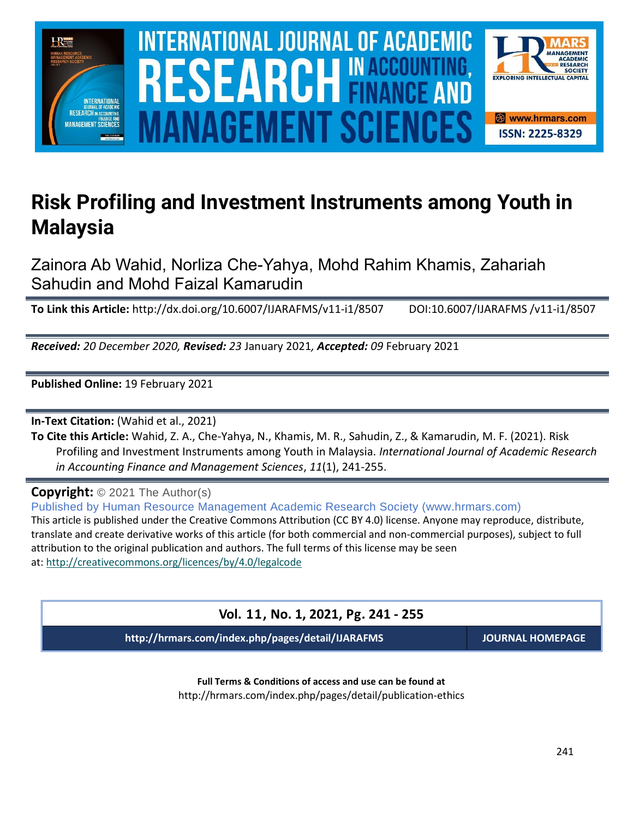

# **Risk Profiling and Investment Instruments among Youth in Malaysia**

Zainora Ab Wahid, Norliza Che-Yahya, Mohd Rahim Khamis, Zahariah Sahudin and Mohd Faizal Kamarudin

**To Link this Article:** http://dx.doi.org/10.6007/IJARAFMS/v11-i1/8507 DOI:10.6007/IJARAFMS /v11-i1/8507

*Received: 20 December 2020, Revised: 23* January 2021*, Accepted: 09* February 2021

**Published Online:** 19 February 2021

**In-Text Citation:** (Wahid et al., 2021)

**To Cite this Article:** Wahid, Z. A., Che-Yahya, N., Khamis, M. R., Sahudin, Z., & Kamarudin, M. F. (2021). Risk Profiling and Investment Instruments among Youth in Malaysia. *International Journal of Academic Research in Accounting Finance and Management Sciences*, *11*(1), 241-255.

**Copyright:** © 2021 The Author(s)

Published by Human Resource Management Academic Research Society (www.hrmars.com) This article is published under the Creative Commons Attribution (CC BY 4.0) license. Anyone may reproduce, distribute, translate and create derivative works of this article (for both commercial and non-commercial purposes), subject to full attribution to the original publication and authors. The full terms of this license may be seen at: <http://creativecommons.org/licences/by/4.0/legalcode>

**Vol. 11, No. 1, 2021, Pg. 241 - 255**

**http://hrmars.com/index.php/pages/detail/IJARAFMS JOURNAL HOMEPAGE**

**Full Terms & Conditions of access and use can be found at** http://hrmars.com/index.php/pages/detail/publication-ethics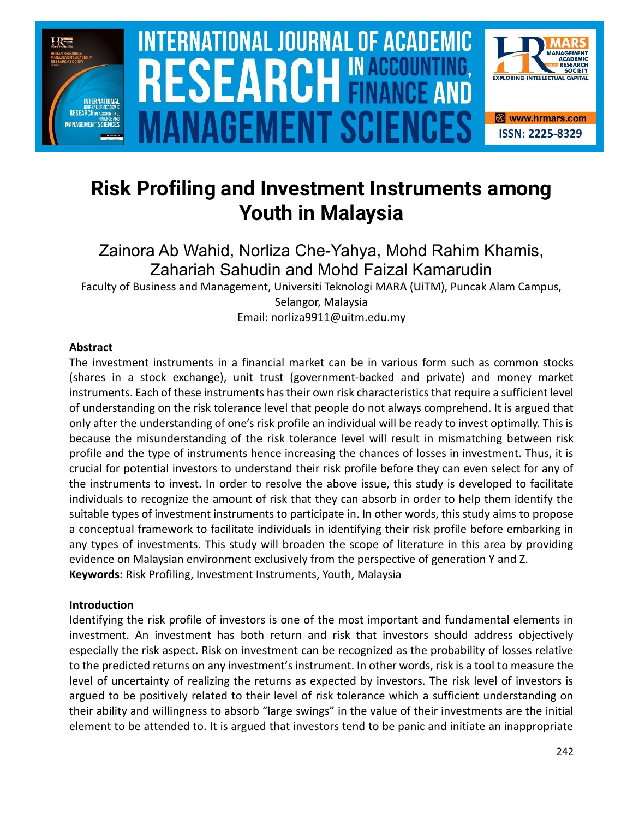

# **Risk Profiling and Investment Instruments among Youth in Malaysia**

Zainora Ab Wahid, Norliza Che-Yahya, Mohd Rahim Khamis, Zahariah Sahudin and Mohd Faizal Kamarudin

Faculty of Business and Management, Universiti Teknologi MARA (UiTM), Puncak Alam Campus, Selangor, Malaysia Email: norliza9911@uitm.edu.my

# **Abstract**

The investment instruments in a financial market can be in various form such as common stocks (shares in a stock exchange), unit trust (government-backed and private) and money market instruments. Each of these instruments has their own risk characteristics that require a sufficient level of understanding on the risk tolerance level that people do not always comprehend. It is argued that only after the understanding of one's risk profile an individual will be ready to invest optimally. This is because the misunderstanding of the risk tolerance level will result in mismatching between risk profile and the type of instruments hence increasing the chances of losses in investment. Thus, it is crucial for potential investors to understand their risk profile before they can even select for any of the instruments to invest. In order to resolve the above issue, this study is developed to facilitate individuals to recognize the amount of risk that they can absorb in order to help them identify the suitable types of investment instruments to participate in. In other words, this study aims to propose a conceptual framework to facilitate individuals in identifying their risk profile before embarking in any types of investments. This study will broaden the scope of literature in this area by providing evidence on Malaysian environment exclusively from the perspective of generation Y and Z. **Keywords:** Risk Profiling, Investment Instruments, Youth, Malaysia

# **Introduction**

Identifying the risk profile of investors is one of the most important and fundamental elements in investment. An investment has both return and risk that investors should address objectively especially the risk aspect. Risk on investment can be recognized as the probability of losses relative to the predicted returns on any investment's instrument. In other words, risk is a tool to measure the level of uncertainty of realizing the returns as expected by investors. The risk level of investors is argued to be positively related to their level of risk tolerance which a sufficient understanding on their ability and willingness to absorb "large swings" in the value of their investments are the initial element to be attended to. It is argued that investors tend to be panic and initiate an inappropriate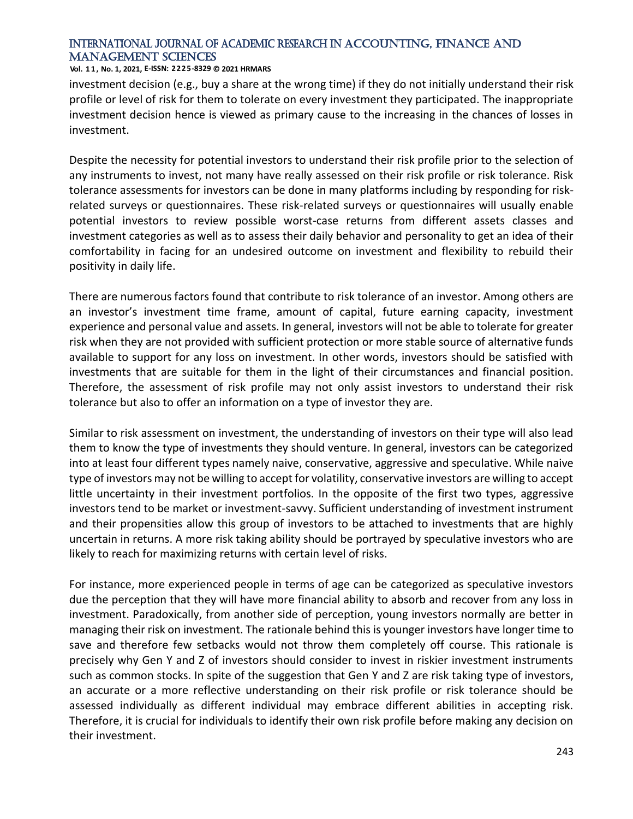#### **Vol. 1 1 , No. 1, 2021, E-ISSN: 2225-8329 © 2021 HRMARS**

investment decision (e.g., buy a share at the wrong time) if they do not initially understand their risk profile or level of risk for them to tolerate on every investment they participated. The inappropriate investment decision hence is viewed as primary cause to the increasing in the chances of losses in investment.

Despite the necessity for potential investors to understand their risk profile prior to the selection of any instruments to invest, not many have really assessed on their risk profile or risk tolerance. Risk tolerance assessments for investors can be done in many platforms including by responding for riskrelated surveys or questionnaires. These risk-related surveys or questionnaires will usually enable potential investors to review possible worst-case returns from different assets classes and investment categories as well as to assess their daily behavior and personality to get an idea of their comfortability in facing for an undesired outcome on investment and flexibility to rebuild their positivity in daily life.

There are numerous factors found that contribute to risk tolerance of an investor. Among others are an investor's investment time frame, amount of capital, future earning capacity, investment experience and personal value and assets. In general, investors will not be able to tolerate for greater risk when they are not provided with sufficient protection or more stable source of alternative funds available to support for any loss on investment. In other words, investors should be satisfied with investments that are suitable for them in the light of their circumstances and financial position. Therefore, the assessment of risk profile may not only assist investors to understand their risk tolerance but also to offer an information on a type of investor they are.

Similar to risk assessment on investment, the understanding of investors on their type will also lead them to know the type of investments they should venture. In general, investors can be categorized into at least four different types namely naive, conservative, aggressive and speculative. While naive type of investors may not be willing to accept for volatility, conservative investors are willing to accept little uncertainty in their investment portfolios. In the opposite of the first two types, aggressive investors tend to be market or investment-savvy. Sufficient understanding of investment instrument and their propensities allow this group of investors to be attached to investments that are highly uncertain in returns. A more risk taking ability should be portrayed by speculative investors who are likely to reach for maximizing returns with certain level of risks.

For instance, more experienced people in terms of age can be categorized as speculative investors due the perception that they will have more financial ability to absorb and recover from any loss in investment. Paradoxically, from another side of perception, young investors normally are better in managing their risk on investment. The rationale behind this is younger investors have longer time to save and therefore few setbacks would not throw them completely off course. This rationale is precisely why Gen Y and Z of investors should consider to invest in riskier investment instruments such as common stocks. In spite of the suggestion that Gen Y and Z are risk taking type of investors, an accurate or a more reflective understanding on their risk profile or risk tolerance should be assessed individually as different individual may embrace different abilities in accepting risk. Therefore, it is crucial for individuals to identify their own risk profile before making any decision on their investment.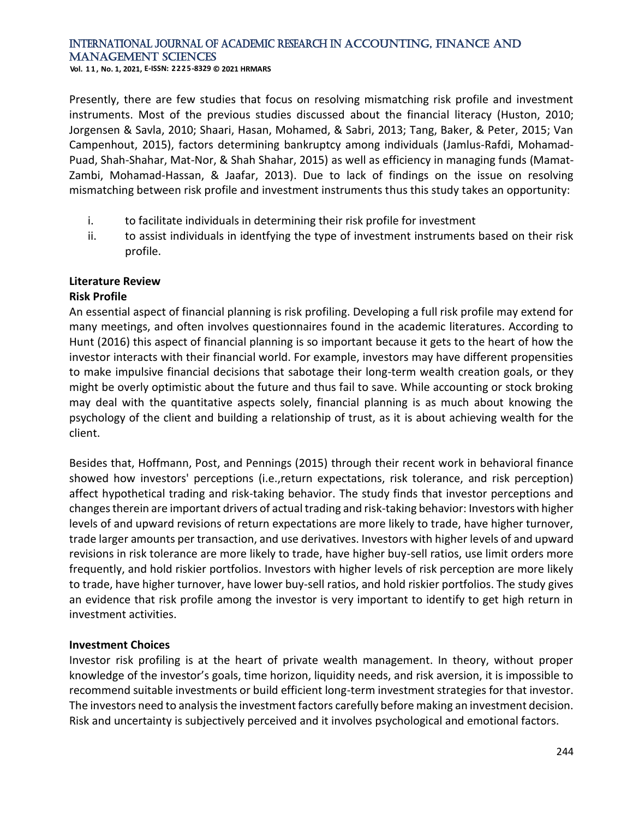**Vol. 1 1 , No. 1, 2021, E-ISSN: 2225-8329 © 2021 HRMARS**

Presently, there are few studies that focus on resolving mismatching risk profile and investment instruments. Most of the previous studies discussed about the financial literacy (Huston, 2010; Jorgensen & Savla, 2010; Shaari, Hasan, Mohamed, & Sabri, 2013; Tang, Baker, & Peter, 2015; Van Campenhout, 2015), factors determining bankruptcy among individuals (Jamlus-Rafdi, Mohamad-Puad, Shah-Shahar, Mat-Nor, & Shah Shahar, 2015) as well as efficiency in managing funds (Mamat-Zambi, Mohamad-Hassan, & Jaafar, 2013). Due to lack of findings on the issue on resolving mismatching between risk profile and investment instruments thus this study takes an opportunity:

- i. to facilitate individuals in determining their risk profile for investment
- ii. to assist individuals in identfying the type of investment instruments based on their risk profile.

## **Literature Review**

#### **Risk Profile**

An essential aspect of financial planning is risk profiling. Developing a full risk profile may extend for many meetings, and often involves questionnaires found in the academic literatures. According to Hunt (2016) this aspect of financial planning is so important because it gets to the heart of how the investor interacts with their financial world. For example, investors may have different propensities to make impulsive financial decisions that sabotage their long-term wealth creation goals, or they might be overly optimistic about the future and thus fail to save. While accounting or stock broking may deal with the quantitative aspects solely, financial planning is as much about knowing the psychology of the client and building a relationship of trust, as it is about achieving wealth for the client.

Besides that, Hoffmann, Post, and Pennings (2015) through their recent work in behavioral finance showed how investors' perceptions (i.e.,return expectations, risk tolerance, and risk perception) affect hypothetical trading and risk-taking behavior. The study finds that investor perceptions and changes therein are important drivers of actual trading and risk-taking behavior: Investors with higher levels of and upward revisions of return expectations are more likely to trade, have higher turnover, trade larger amounts per transaction, and use derivatives. Investors with higher levels of and upward revisions in risk tolerance are more likely to trade, have higher buy-sell ratios, use limit orders more frequently, and hold riskier portfolios. Investors with higher levels of risk perception are more likely to trade, have higher turnover, have lower buy-sell ratios, and hold riskier portfolios. The study gives an evidence that risk profile among the investor is very important to identify to get high return in investment activities.

#### **Investment Choices**

Investor risk profiling is at the heart of private wealth management. In theory, without proper knowledge of the investor's goals, time horizon, liquidity needs, and risk aversion, it is impossible to recommend suitable investments or build efficient long-term investment strategies for that investor. The investors need to analysis the investment factors carefully before making an investment decision. Risk and uncertainty is subjectively perceived and it involves psychological and emotional factors.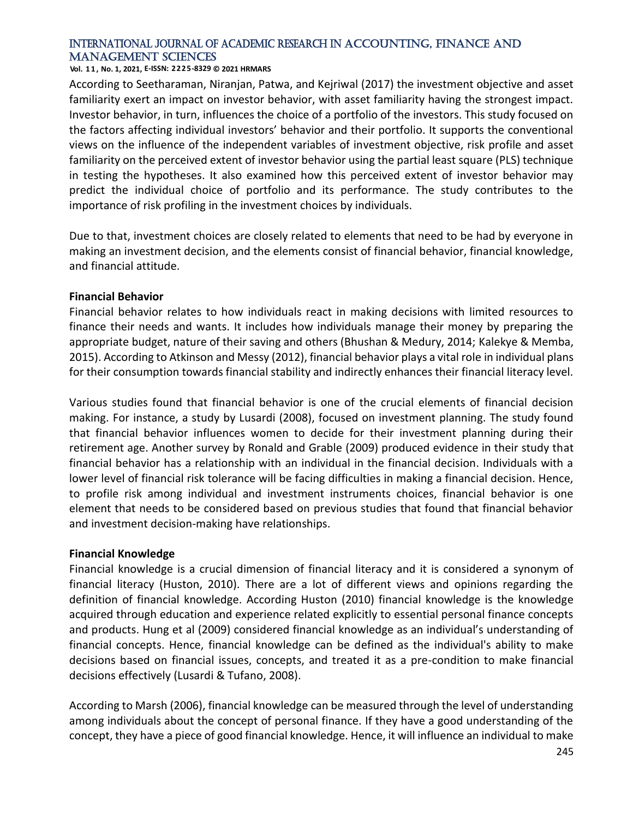#### **Vol. 1 1 , No. 1, 2021, E-ISSN: 2225-8329 © 2021 HRMARS**

According to Seetharaman, Niranjan, Patwa, and Kejriwal (2017) the investment objective and asset familiarity exert an impact on investor behavior, with asset familiarity having the strongest impact. Investor behavior, in turn, influences the choice of a portfolio of the investors. This study focused on the factors affecting individual investors' behavior and their portfolio. It supports the conventional views on the influence of the independent variables of investment objective, risk profile and asset familiarity on the perceived extent of investor behavior using the partial least square (PLS) technique in testing the hypotheses. It also examined how this perceived extent of investor behavior may predict the individual choice of portfolio and its performance. The study contributes to the importance of risk profiling in the investment choices by individuals.

Due to that, investment choices are closely related to elements that need to be had by everyone in making an investment decision, and the elements consist of financial behavior, financial knowledge, and financial attitude.

#### **Financial Behavior**

Financial behavior relates to how individuals react in making decisions with limited resources to finance their needs and wants. It includes how individuals manage their money by preparing the appropriate budget, nature of their saving and others (Bhushan & Medury, 2014; Kalekye & Memba, 2015). According to Atkinson and Messy (2012), financial behavior plays a vital role in individual plans for their consumption towards financial stability and indirectly enhances their financial literacy level.

Various studies found that financial behavior is one of the crucial elements of financial decision making. For instance, a study by Lusardi (2008), focused on investment planning. The study found that financial behavior influences women to decide for their investment planning during their retirement age. Another survey by Ronald and Grable (2009) produced evidence in their study that financial behavior has a relationship with an individual in the financial decision. Individuals with a lower level of financial risk tolerance will be facing difficulties in making a financial decision. Hence, to profile risk among individual and investment instruments choices, financial behavior is one element that needs to be considered based on previous studies that found that financial behavior and investment decision-making have relationships.

#### **Financial Knowledge**

Financial knowledge is a crucial dimension of financial literacy and it is considered a synonym of financial literacy (Huston, 2010). There are a lot of different views and opinions regarding the definition of financial knowledge. According Huston (2010) financial knowledge is the knowledge acquired through education and experience related explicitly to essential personal finance concepts and products. Hung et al (2009) considered financial knowledge as an individual's understanding of financial concepts. Hence, financial knowledge can be defined as the individual's ability to make decisions based on financial issues, concepts, and treated it as a pre-condition to make financial decisions effectively (Lusardi & Tufano, 2008).

According to Marsh (2006), financial knowledge can be measured through the level of understanding among individuals about the concept of personal finance. If they have a good understanding of the concept, they have a piece of good financial knowledge. Hence, it will influence an individual to make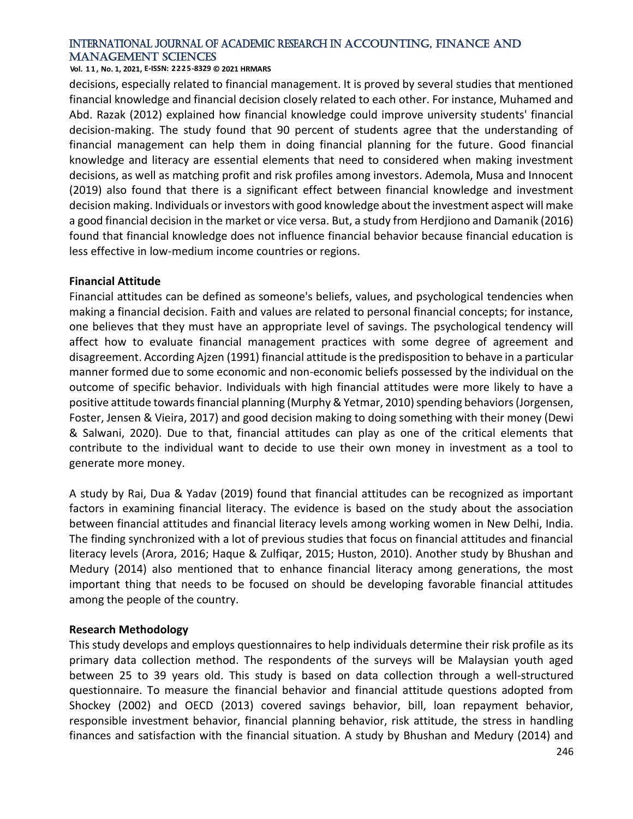#### **Vol. 1 1 , No. 1, 2021, E-ISSN: 2225-8329 © 2021 HRMARS**

decisions, especially related to financial management. It is proved by several studies that mentioned financial knowledge and financial decision closely related to each other. For instance, Muhamed and Abd. Razak (2012) explained how financial knowledge could improve university students' financial decision-making. The study found that 90 percent of students agree that the understanding of financial management can help them in doing financial planning for the future. Good financial knowledge and literacy are essential elements that need to considered when making investment decisions, as well as matching profit and risk profiles among investors. Ademola, Musa and Innocent (2019) also found that there is a significant effect between financial knowledge and investment decision making. Individuals or investors with good knowledge about the investment aspect will make a good financial decision in the market or vice versa. But, a study from Herdjiono and Damanik (2016) found that financial knowledge does not influence financial behavior because financial education is less effective in low-medium income countries or regions.

#### **Financial Attitude**

Financial attitudes can be defined as someone's beliefs, values, and psychological tendencies when making a financial decision. Faith and values are related to personal financial concepts; for instance, one believes that they must have an appropriate level of savings. The psychological tendency will affect how to evaluate financial management practices with some degree of agreement and disagreement. According Ajzen (1991) financial attitude is the predisposition to behave in a particular manner formed due to some economic and non-economic beliefs possessed by the individual on the outcome of specific behavior. Individuals with high financial attitudes were more likely to have a positive attitude towards financial planning (Murphy & Yetmar, 2010) spending behaviors (Jorgensen, Foster, Jensen & Vieira, 2017) and good decision making to doing something with their money (Dewi & Salwani, 2020). Due to that, financial attitudes can play as one of the critical elements that contribute to the individual want to decide to use their own money in investment as a tool to generate more money.

A study by Rai, Dua & Yadav (2019) found that financial attitudes can be recognized as important factors in examining financial literacy. The evidence is based on the study about the association between financial attitudes and financial literacy levels among working women in New Delhi, India. The finding synchronized with a lot of previous studies that focus on financial attitudes and financial literacy levels (Arora, 2016; Haque & Zulfiqar, 2015; Huston, 2010). Another study by Bhushan and Medury (2014) also mentioned that to enhance financial literacy among generations, the most important thing that needs to be focused on should be developing favorable financial attitudes among the people of the country.

#### **Research Methodology**

This study develops and employs questionnaires to help individuals determine their risk profile as its primary data collection method. The respondents of the surveys will be Malaysian youth aged between 25 to 39 years old. This study is based on data collection through a well-structured questionnaire. To measure the financial behavior and financial attitude questions adopted from Shockey (2002) and OECD (2013) covered savings behavior, bill, loan repayment behavior, responsible investment behavior, financial planning behavior, risk attitude, the stress in handling finances and satisfaction with the financial situation. A study by Bhushan and Medury (2014) and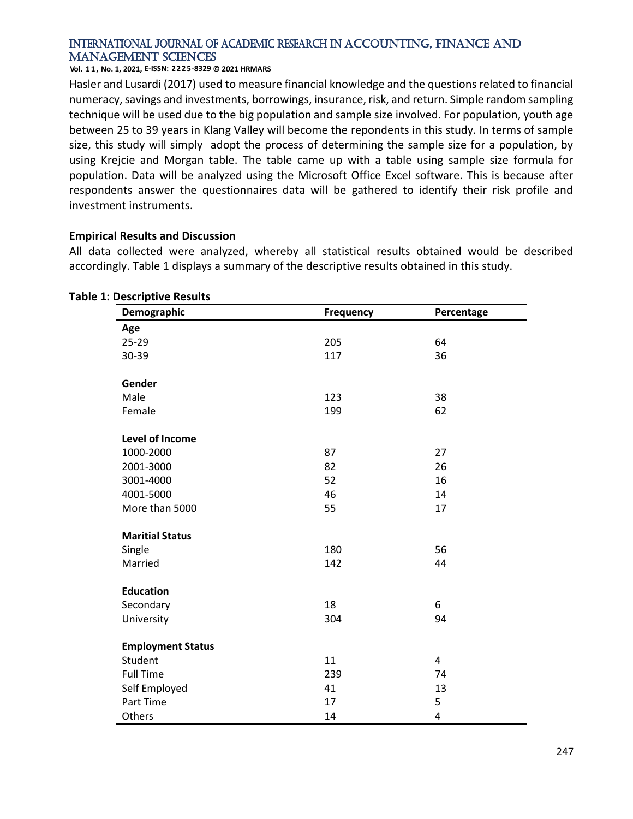**Vol. 1 1 , No. 1, 2021, E-ISSN: 2225-8329 © 2021 HRMARS**

Hasler and Lusardi (2017) used to measure financial knowledge and the questions related to financial numeracy, savings and investments, borrowings, insurance, risk, and return. Simple random sampling technique will be used due to the big population and sample size involved. For population, youth age between 25 to 39 years in Klang Valley will become the repondents in this study. In terms of sample size, this study will simply adopt the process of determining the sample size for a population, by using Krejcie and Morgan table. The table came up with a table using sample size formula for population. Data will be analyzed using the Microsoft Office Excel software. This is because after respondents answer the questionnaires data will be gathered to identify their risk profile and investment instruments.

## **Empirical Results and Discussion**

All data collected were analyzed, whereby all statistical results obtained would be described accordingly. Table 1 displays a summary of the descriptive results obtained in this study.

| Demographic              | Frequency | Percentage     |
|--------------------------|-----------|----------------|
| Age                      |           |                |
| 25-29                    | 205       | 64             |
| 30-39                    | 117       | 36             |
| Gender                   |           |                |
| Male                     | 123       | 38             |
| Female                   | 199       | 62             |
| Level of Income          |           |                |
| 1000-2000                | 87        | 27             |
| 2001-3000                | 82        | 26             |
| 3001-4000                | 52        | 16             |
| 4001-5000                | 46        | 14             |
| More than 5000           | 55        | 17             |
| <b>Maritial Status</b>   |           |                |
| Single                   | 180       | 56             |
| Married                  | 142       | 44             |
| <b>Education</b>         |           |                |
| Secondary                | 18        | 6              |
| University               | 304       | 94             |
| <b>Employment Status</b> |           |                |
| Student                  | 11        | $\overline{a}$ |
| <b>Full Time</b>         | 239       | 74             |
| Self Employed            | 41        | 13             |
| Part Time                | 17        | 5              |
| Others                   | 14        | 4              |

#### **Table 1: Descriptive Results**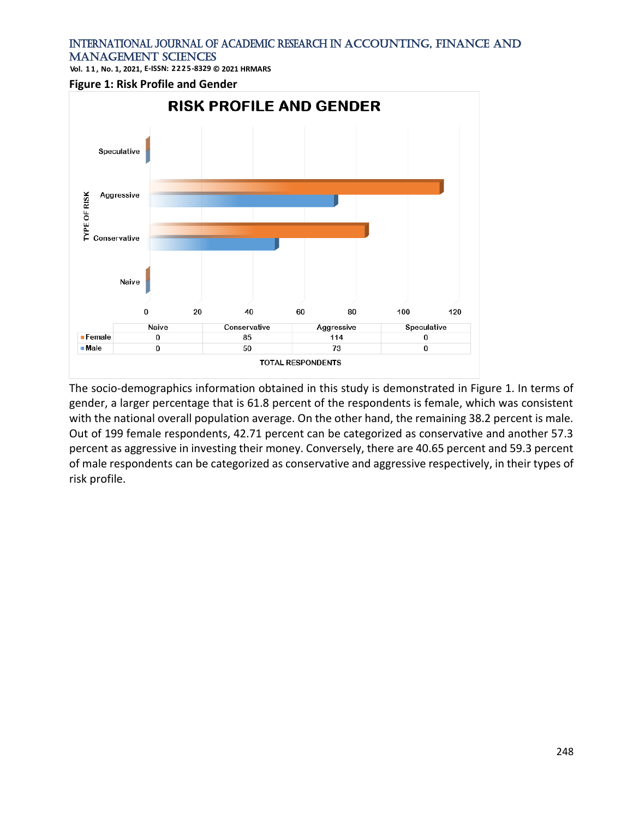**Vol. 1 1 , No. 1, 2021, E-ISSN: 2225-8329 © 2021 HRMARS**

#### **Figure 1: Risk Profile and Gender**



The socio-demographics information obtained in this study is demonstrated in Figure 1. In terms of gender, a larger percentage that is 61.8 percent of the respondents is female, which was consistent with the national overall population average. On the other hand, the remaining 38.2 percent is male. Out of 199 female respondents, 42.71 percent can be categorized as conservative and another 57.3 percent as aggressive in investing their money. Conversely, there are 40.65 percent and 59.3 percent of male respondents can be categorized as conservative and aggressive respectively, in their types of risk profile.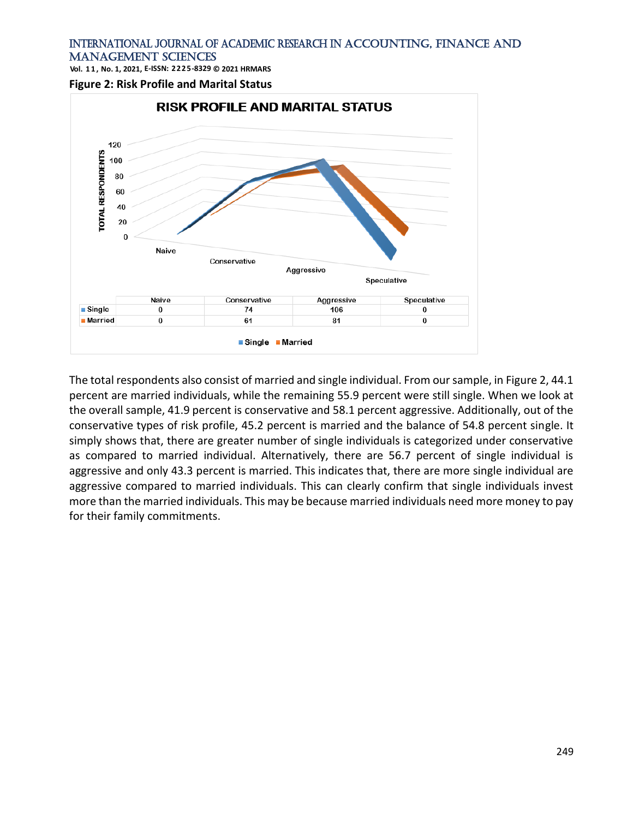**Vol. 1 1 , No. 1, 2021, E-ISSN: 2225-8329 © 2021 HRMARS**

**Figure 2: Risk Profile and Marital Status**



The total respondents also consist of married and single individual. From our sample, in Figure 2, 44.1 percent are married individuals, while the remaining 55.9 percent were still single. When we look at the overall sample, 41.9 percent is conservative and 58.1 percent aggressive. Additionally, out of the conservative types of risk profile, 45.2 percent is married and the balance of 54.8 percent single. It simply shows that, there are greater number of single individuals is categorized under conservative as compared to married individual. Alternatively, there are 56.7 percent of single individual is aggressive and only 43.3 percent is married. This indicates that, there are more single individual are aggressive compared to married individuals. This can clearly confirm that single individuals invest more than the married individuals. This may be because married individuals need more money to pay for their family commitments.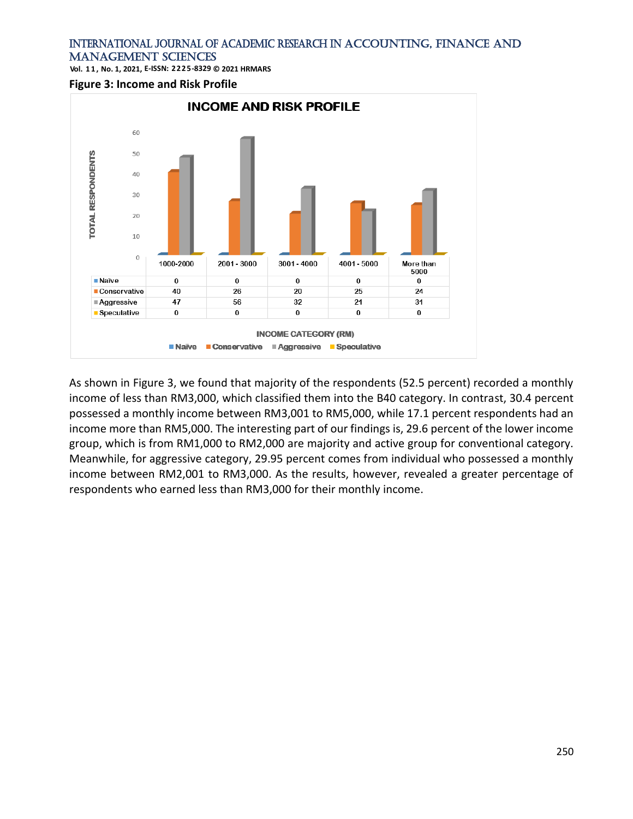**Vol. 1 1 , No. 1, 2021, E-ISSN: 2225-8329 © 2021 HRMARS**

**Figure 3: Income and Risk Profile**



As shown in Figure 3, we found that majority of the respondents (52.5 percent) recorded a monthly income of less than RM3,000, which classified them into the B40 category. In contrast, 30.4 percent possessed a monthly income between RM3,001 to RM5,000, while 17.1 percent respondents had an income more than RM5,000. The interesting part of our findings is, 29.6 percent of the lower income group, which is from RM1,000 to RM2,000 are majority and active group for conventional category. Meanwhile, for aggressive category, 29.95 percent comes from individual who possessed a monthly income between RM2,001 to RM3,000. As the results, however, revealed a greater percentage of respondents who earned less than RM3,000 for their monthly income.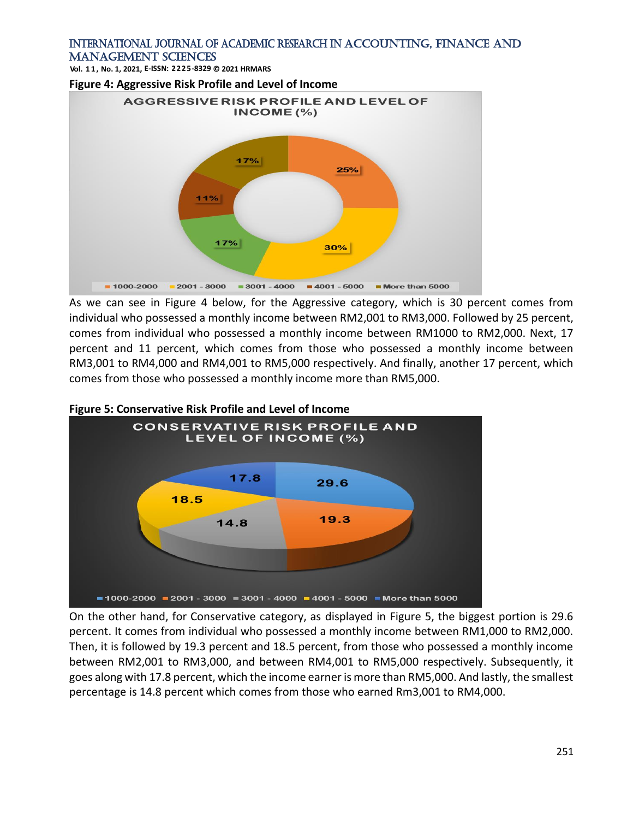**Vol. 1 1 , No. 1, 2021, E-ISSN: 2225-8329 © 2021 HRMARS**

**Figure 4: Aggressive Risk Profile and Level of Income**



As we can see in Figure 4 below, for the Aggressive category, which is 30 percent comes from individual who possessed a monthly income between RM2,001 to RM3,000. Followed by 25 percent, comes from individual who possessed a monthly income between RM1000 to RM2,000. Next, 17 percent and 11 percent, which comes from those who possessed a monthly income between RM3,001 to RM4,000 and RM4,001 to RM5,000 respectively. And finally, another 17 percent, which comes from those who possessed a monthly income more than RM5,000.



On the other hand, for Conservative category, as displayed in Figure 5, the biggest portion is 29.6 percent. It comes from individual who possessed a monthly income between RM1,000 to RM2,000. Then, it is followed by 19.3 percent and 18.5 percent, from those who possessed a monthly income between RM2,001 to RM3,000, and between RM4,001 to RM5,000 respectively. Subsequently, it goes along with 17.8 percent, which the income earner is more than RM5,000. And lastly, the smallest percentage is 14.8 percent which comes from those who earned Rm3,001 to RM4,000.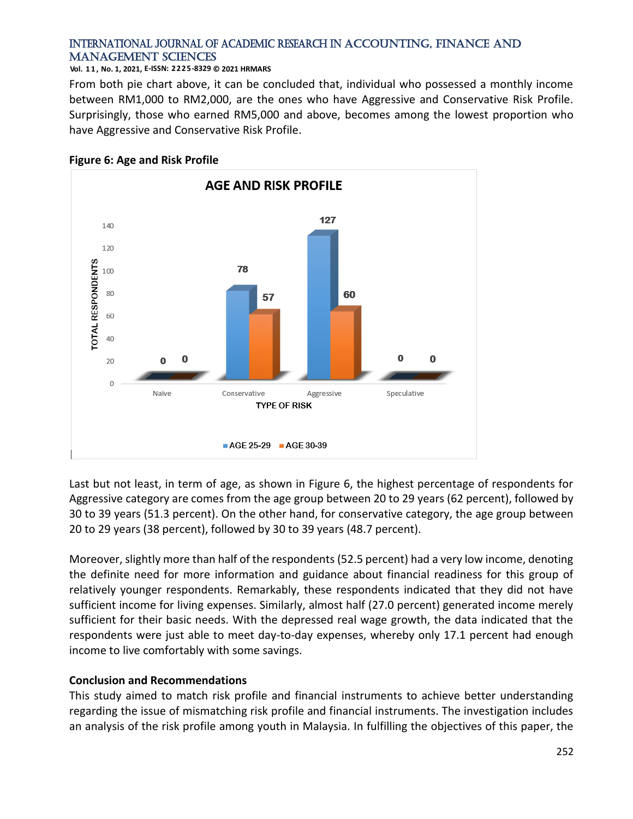#### **Vol. 1 1 , No. 1, 2021, E-ISSN: 2225-8329 © 2021 HRMARS**

From both pie chart above, it can be concluded that, individual who possessed a monthly income between RM1,000 to RM2,000, are the ones who have Aggressive and Conservative Risk Profile. Surprisingly, those who earned RM5,000 and above, becomes among the lowest proportion who have Aggressive and Conservative Risk Profile.



## **Figure 6: Age and Risk Profile**

Last but not least, in term of age, as shown in Figure 6, the highest percentage of respondents for Aggressive category are comes from the age group between 20 to 29 years (62 percent), followed by 30 to 39 years (51.3 percent). On the other hand, for conservative category, the age group between 20 to 29 years (38 percent), followed by 30 to 39 years (48.7 percent).

Moreover, slightly more than half of the respondents (52.5 percent) had a very low income, denoting the definite need for more information and guidance about financial readiness for this group of relatively younger respondents. Remarkably, these respondents indicated that they did not have sufficient income for living expenses. Similarly, almost half (27.0 percent) generated income merely sufficient for their basic needs. With the depressed real wage growth, the data indicated that the respondents were just able to meet day-to-day expenses, whereby only 17.1 percent had enough income to live comfortably with some savings.

# **Conclusion and Recommendations**

This study aimed to match risk profile and financial instruments to achieve better understanding regarding the issue of mismatching risk profile and financial instruments. The investigation includes an analysis of the risk profile among youth in Malaysia. In fulfilling the objectives of this paper, the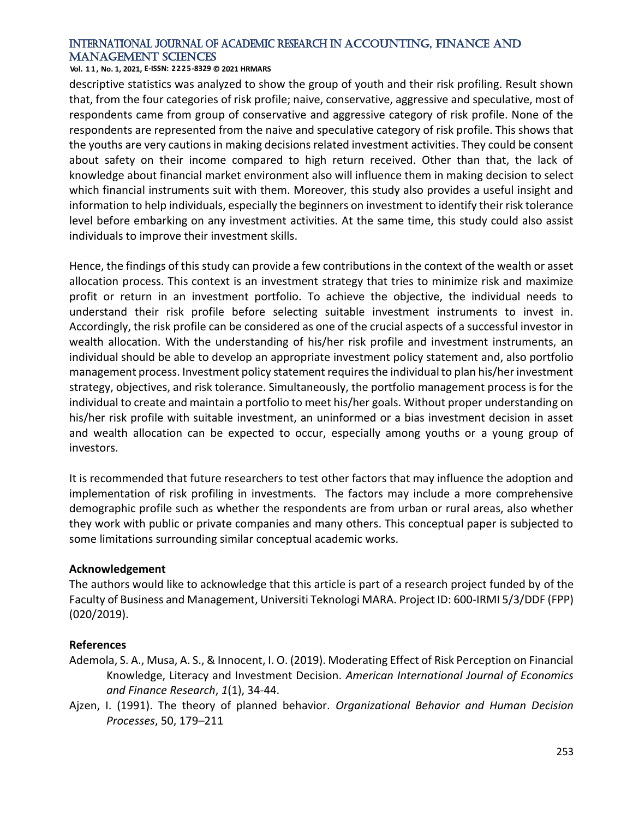**Vol. 1 1 , No. 1, 2021, E-ISSN: 2225-8329 © 2021 HRMARS**

descriptive statistics was analyzed to show the group of youth and their risk profiling. Result shown that, from the four categories of risk profile; naive, conservative, aggressive and speculative, most of respondents came from group of conservative and aggressive category of risk profile. None of the respondents are represented from the naive and speculative category of risk profile. This shows that the youths are very cautions in making decisions related investment activities. They could be consent about safety on their income compared to high return received. Other than that, the lack of knowledge about financial market environment also will influence them in making decision to select which financial instruments suit with them. Moreover, this study also provides a useful insight and information to help individuals, especially the beginners on investment to identify their risk tolerance level before embarking on any investment activities. At the same time, this study could also assist individuals to improve their investment skills.

Hence, the findings of this study can provide a few contributions in the context of the wealth or asset allocation process. This context is an investment strategy that tries to minimize risk and maximize profit or return in an investment portfolio. To achieve the objective, the individual needs to understand their risk profile before selecting suitable investment instruments to invest in. Accordingly, the risk profile can be considered as one of the crucial aspects of a successful investor in wealth allocation. With the understanding of his/her risk profile and investment instruments, an individual should be able to develop an appropriate investment policy statement and, also portfolio management process. Investment policy statement requires the individual to plan his/her investment strategy, objectives, and risk tolerance. Simultaneously, the portfolio management process is for the individual to create and maintain a portfolio to meet his/her goals. Without proper understanding on his/her risk profile with suitable investment, an uninformed or a bias investment decision in asset and wealth allocation can be expected to occur, especially among youths or a young group of investors.

It is recommended that future researchers to test other factors that may influence the adoption and implementation of risk profiling in investments. The factors may include a more comprehensive demographic profile such as whether the respondents are from urban or rural areas, also whether they work with public or private companies and many others. This conceptual paper is subjected to some limitations surrounding similar conceptual academic works.

#### **Acknowledgement**

The authors would like to acknowledge that this article is part of a research project funded by of the Faculty of Business and Management, Universiti Teknologi MARA. Project ID: 600-IRMI 5/3/DDF (FPP) (020/2019).

#### **References**

- Ademola, S. A., Musa, A. S., & Innocent, I. O. (2019). Moderating Effect of Risk Perception on Financial Knowledge, Literacy and Investment Decision. *American International Journal of Economics and Finance Research*, *1*(1), 34-44.
- Ajzen, I. (1991). The theory of planned behavior. *Organizational Behavior and Human Decision Processes*, 50, 179–211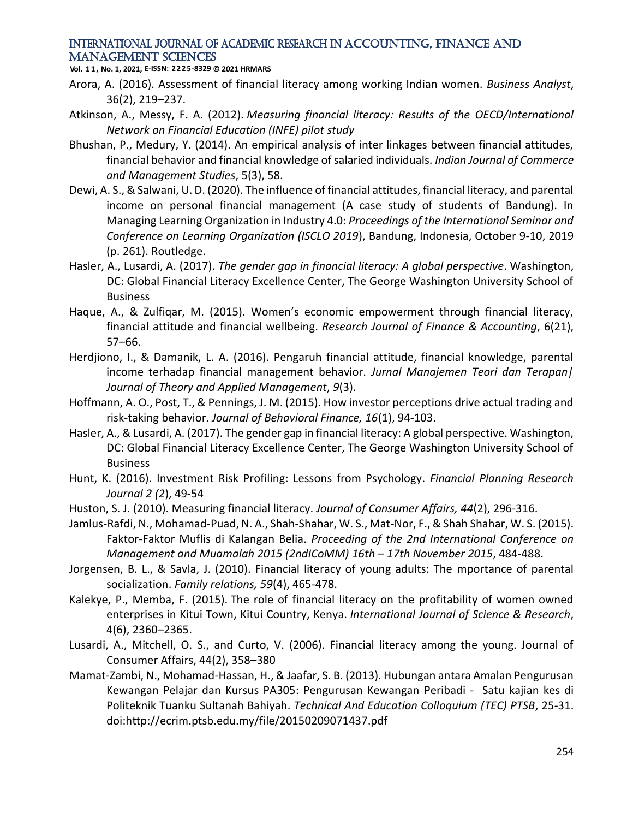**Vol. 1 1 , No. 1, 2021, E-ISSN: 2225-8329 © 2021 HRMARS**

- Arora, A. (2016). Assessment of financial literacy among working Indian women. *Business Analyst*, 36(2), 219–237.
- Atkinson, A., Messy, F. A. (2012). *Measuring financial literacy: Results of the OECD/International Network on Financial Education (INFE) pilot study*
- Bhushan, P., Medury, Y. (2014). An empirical analysis of inter linkages between financial attitudes, financial behavior and financial knowledge of salaried individuals. *Indian Journal of Commerce and Management Studies*, 5(3), 58.
- Dewi, A. S., & Salwani, U. D. (2020). The influence of financial attitudes, financial literacy, and parental income on personal financial management (A case study of students of Bandung). In Managing Learning Organization in Industry 4.0: *Proceedings of the International Seminar and Conference on Learning Organization (ISCLO 2019*), Bandung, Indonesia, October 9-10, 2019 (p. 261). Routledge.
- Hasler, A., Lusardi, A. (2017). *The gender gap in financial literacy: A global perspective*. Washington, DC: Global Financial Literacy Excellence Center, The George Washington University School of **Business**
- Haque, A., & Zulfiqar, M. (2015). Women's economic empowerment through financial literacy, financial attitude and financial wellbeing. *Research Journal of Finance & Accounting*, 6(21), 57–66.
- Herdjiono, I., & Damanik, L. A. (2016). Pengaruh financial attitude, financial knowledge, parental income terhadap financial management behavior. *Jurnal Manajemen Teori dan Terapan| Journal of Theory and Applied Management*, *9*(3).
- Hoffmann, A. O., Post, T., & Pennings, J. M. (2015). How investor perceptions drive actual trading and risk-taking behavior. *Journal of Behavioral Finance, 16*(1), 94-103.
- Hasler, A., & Lusardi, A. (2017). The gender gap in financial literacy: A global perspective. Washington, DC: Global Financial Literacy Excellence Center, The George Washington University School of **Business**
- Hunt, K. (2016). Investment Risk Profiling: Lessons from Psychology. *Financial Planning Research Journal 2 (2*), 49-54
- Huston, S. J. (2010). Measuring financial literacy. *Journal of Consumer Affairs, 44*(2), 296-316.
- Jamlus-Rafdi, N., Mohamad-Puad, N. A., Shah-Shahar, W. S., Mat-Nor, F., & Shah Shahar, W. S. (2015). Faktor-Faktor Muflis di Kalangan Belia. *Proceeding of the 2nd International Conference on Management and Muamalah 2015 (2ndICoMM) 16th – 17th November 2015*, 484-488.
- Jorgensen, B. L., & Savla, J. (2010). Financial literacy of young adults: The mportance of parental socialization. *Family relations, 59*(4), 465-478.
- Kalekye, P., Memba, F. (2015). The role of financial literacy on the profitability of women owned enterprises in Kitui Town, Kitui Country, Kenya. *International Journal of Science & Research*, 4(6), 2360–2365.
- Lusardi, A., Mitchell, O. S., and Curto, V. (2006). Financial literacy among the young. Journal of Consumer Affairs, 44(2), 358–380
- Mamat-Zambi, N., Mohamad-Hassan, H., & Jaafar, S. B. (2013). Hubungan antara Amalan Pengurusan Kewangan Pelajar dan Kursus PA305: Pengurusan Kewangan Peribadi - Satu kajian kes di Politeknik Tuanku Sultanah Bahiyah. *Technical And Education Colloquium (TEC) PTSB*, 25-31. doi:http://ecrim.ptsb.edu.my/file/20150209071437.pdf